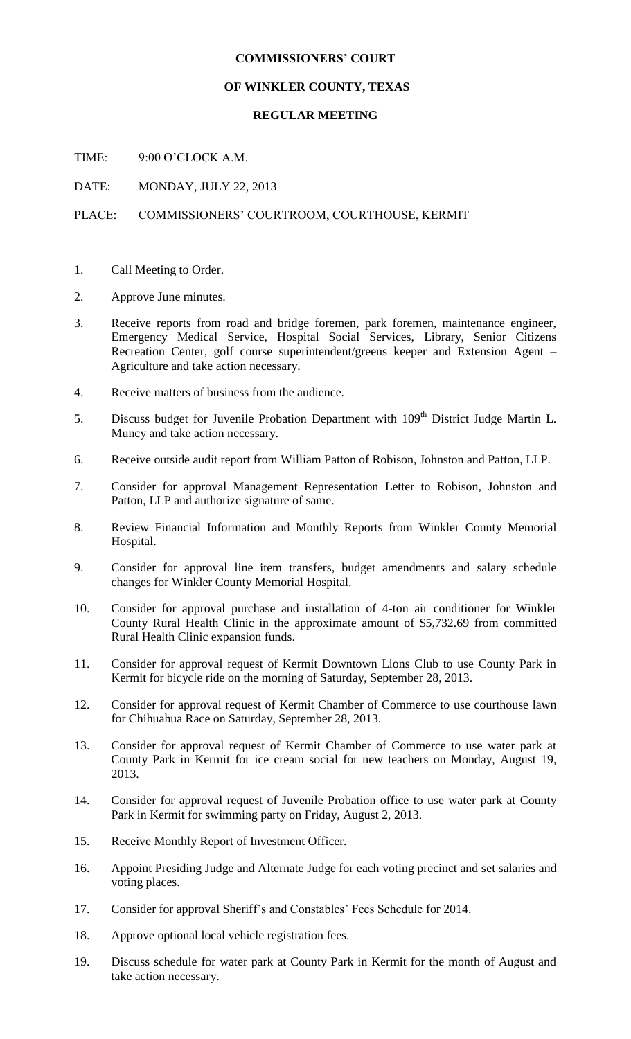## **COMMISSIONERS' COURT**

## **OF WINKLER COUNTY, TEXAS**

## **REGULAR MEETING**

TIME: 9:00 O'CLOCK A.M.

DATE: MONDAY, JULY 22, 2013

## PLACE: COMMISSIONERS' COURTROOM, COURTHOUSE, KERMIT

- 1. Call Meeting to Order.
- 2. Approve June minutes.
- 3. Receive reports from road and bridge foremen, park foremen, maintenance engineer, Emergency Medical Service, Hospital Social Services, Library, Senior Citizens Recreation Center, golf course superintendent/greens keeper and Extension Agent – Agriculture and take action necessary.
- 4. Receive matters of business from the audience.
- 5. Discuss budget for Juvenile Probation Department with 109<sup>th</sup> District Judge Martin L. Muncy and take action necessary.
- 6. Receive outside audit report from William Patton of Robison, Johnston and Patton, LLP.
- 7. Consider for approval Management Representation Letter to Robison, Johnston and Patton, LLP and authorize signature of same.
- 8. Review Financial Information and Monthly Reports from Winkler County Memorial Hospital.
- 9. Consider for approval line item transfers, budget amendments and salary schedule changes for Winkler County Memorial Hospital.
- 10. Consider for approval purchase and installation of 4-ton air conditioner for Winkler County Rural Health Clinic in the approximate amount of \$5,732.69 from committed Rural Health Clinic expansion funds.
- 11. Consider for approval request of Kermit Downtown Lions Club to use County Park in Kermit for bicycle ride on the morning of Saturday, September 28, 2013.
- 12. Consider for approval request of Kermit Chamber of Commerce to use courthouse lawn for Chihuahua Race on Saturday, September 28, 2013.
- 13. Consider for approval request of Kermit Chamber of Commerce to use water park at County Park in Kermit for ice cream social for new teachers on Monday, August 19, 2013.
- 14. Consider for approval request of Juvenile Probation office to use water park at County Park in Kermit for swimming party on Friday, August 2, 2013.
- 15. Receive Monthly Report of Investment Officer.
- 16. Appoint Presiding Judge and Alternate Judge for each voting precinct and set salaries and voting places.
- 17. Consider for approval Sheriff's and Constables' Fees Schedule for 2014.
- 18. Approve optional local vehicle registration fees.
- 19. Discuss schedule for water park at County Park in Kermit for the month of August and take action necessary.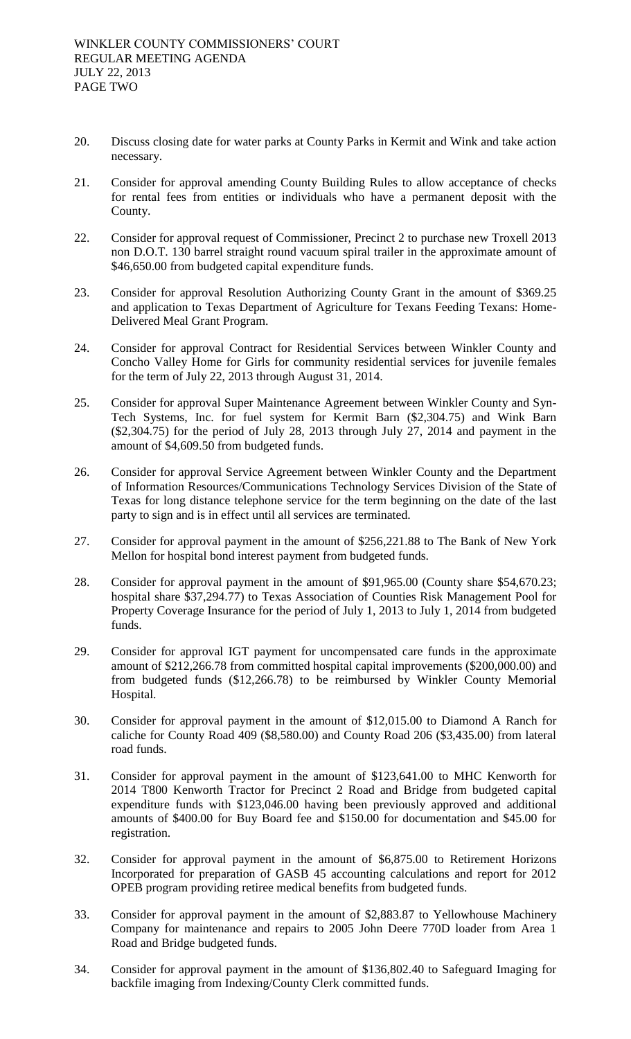- 20. Discuss closing date for water parks at County Parks in Kermit and Wink and take action necessary.
- 21. Consider for approval amending County Building Rules to allow acceptance of checks for rental fees from entities or individuals who have a permanent deposit with the County.
- 22. Consider for approval request of Commissioner, Precinct 2 to purchase new Troxell 2013 non D.O.T. 130 barrel straight round vacuum spiral trailer in the approximate amount of \$46,650.00 from budgeted capital expenditure funds.
- 23. Consider for approval Resolution Authorizing County Grant in the amount of \$369.25 and application to Texas Department of Agriculture for Texans Feeding Texans: Home-Delivered Meal Grant Program.
- 24. Consider for approval Contract for Residential Services between Winkler County and Concho Valley Home for Girls for community residential services for juvenile females for the term of July 22, 2013 through August 31, 2014.
- 25. Consider for approval Super Maintenance Agreement between Winkler County and Syn-Tech Systems, Inc. for fuel system for Kermit Barn (\$2,304.75) and Wink Barn (\$2,304.75) for the period of July 28, 2013 through July 27, 2014 and payment in the amount of \$4,609.50 from budgeted funds.
- 26. Consider for approval Service Agreement between Winkler County and the Department of Information Resources/Communications Technology Services Division of the State of Texas for long distance telephone service for the term beginning on the date of the last party to sign and is in effect until all services are terminated.
- 27. Consider for approval payment in the amount of \$256,221.88 to The Bank of New York Mellon for hospital bond interest payment from budgeted funds.
- 28. Consider for approval payment in the amount of \$91,965.00 (County share \$54,670.23; hospital share \$37,294.77) to Texas Association of Counties Risk Management Pool for Property Coverage Insurance for the period of July 1, 2013 to July 1, 2014 from budgeted funds.
- 29. Consider for approval IGT payment for uncompensated care funds in the approximate amount of \$212,266.78 from committed hospital capital improvements (\$200,000.00) and from budgeted funds (\$12,266.78) to be reimbursed by Winkler County Memorial Hospital.
- 30. Consider for approval payment in the amount of \$12,015.00 to Diamond A Ranch for caliche for County Road 409 (\$8,580.00) and County Road 206 (\$3,435.00) from lateral road funds.
- 31. Consider for approval payment in the amount of \$123,641.00 to MHC Kenworth for 2014 T800 Kenworth Tractor for Precinct 2 Road and Bridge from budgeted capital expenditure funds with \$123,046.00 having been previously approved and additional amounts of \$400.00 for Buy Board fee and \$150.00 for documentation and \$45.00 for registration.
- 32. Consider for approval payment in the amount of \$6,875.00 to Retirement Horizons Incorporated for preparation of GASB 45 accounting calculations and report for 2012 OPEB program providing retiree medical benefits from budgeted funds.
- 33. Consider for approval payment in the amount of \$2,883.87 to Yellowhouse Machinery Company for maintenance and repairs to 2005 John Deere 770D loader from Area 1 Road and Bridge budgeted funds.
- 34. Consider for approval payment in the amount of \$136,802.40 to Safeguard Imaging for backfile imaging from Indexing/County Clerk committed funds.